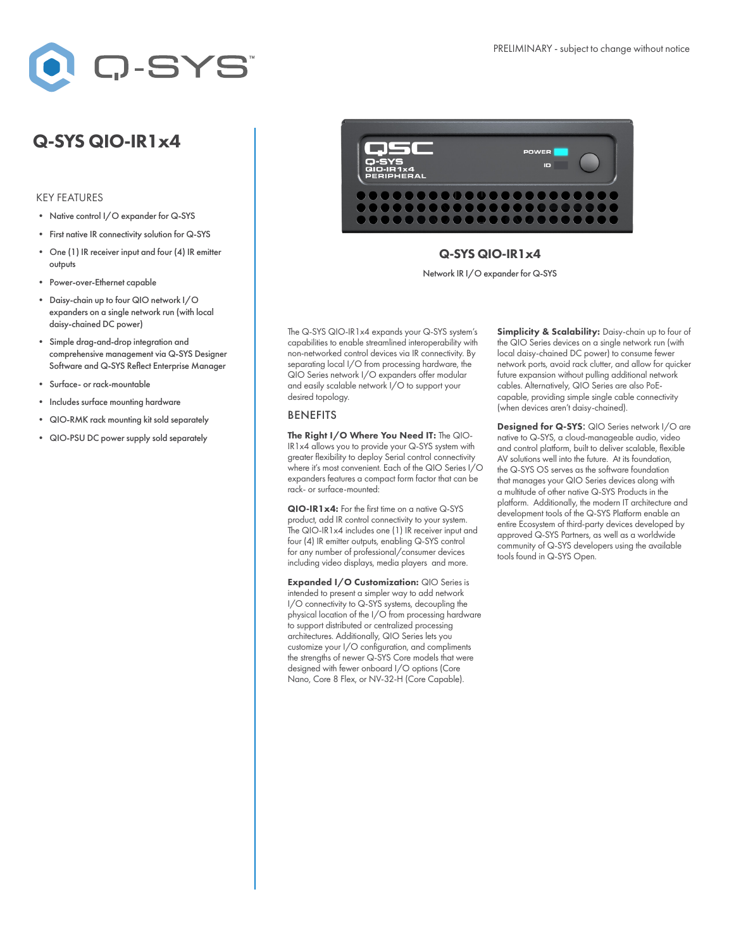

# Q-SYS QIO-IR1x4

#### KEY FEATURES

- Native control I/O expander for Q-SYS
- First native IR connectivity solution for Q-SYS
- One (1) IR receiver input and four (4) IR emitter outputs
- Power-over-Ethernet capable
- Daisy-chain up to four QIO network I/O expanders on a single network run (with local daisy-chained DC power)
- Simple drag-and-drop integration and comprehensive management via Q-SYS Designer Software and Q-SYS Reflect Enterprise Manager
- Surface- or rack-mountable
- Includes surface mounting hardware
- QIO-RMK rack mounting kit sold separately
- QIO-PSU DC power supply sold separately



### Q-SYS QIO-IR1x4

Network IR I/O expander for Q-SYS

The Q-SYS QIO-IR1x4 expands your Q-SYS system's capabilities to enable streamlined interoperability with non-networked control devices via IR connectivity. By separating local I/O from processing hardware, the QIO Series network I/O expanders offer modular and easily scalable network I/O to support your desired topology.

#### BENEFITS

The Right I/O Where You Need IT: The QIO-IR1x4 allows you to provide your Q-SYS system with greater flexibility to deploy Serial control connectivity where it's most convenient. Each of the QIO Series I/O expanders features a compact form factor that can be rack- or surface-mounted:

QIO-IR1 x4: For the first time on a native Q-SYS product, add IR control connectivity to your system. The QIO-IR1x4 includes one (1) IR receiver input and four (4) IR emitter outputs, enabling Q-SYS control for any number of professional/consumer devices including video displays, media players and more.

Expanded I/O Customization: QIO Series is intended to present a simpler way to add network I/O connectivity to Q-SYS systems, decoupling the physical location of the I/O from processing hardware to support distributed or centralized processing architectures. Additionally, QIO Series lets you customize your I/O configuration, and compliments the strengths of newer Q-SYS Core models that were designed with fewer onboard I/O options (Core Nano, Core 8 Flex, or NV-32-H (Core Capable).

Simplicity & Scalability: Daisy-chain up to four of the QIO Series devices on a single network run (with local daisy-chained DC power) to consume fewer network ports, avoid rack clutter, and allow for quicker future expansion without pulling additional network cables. Alternatively, QIO Series are also PoEcapable, providing simple single cable connectivity (when devices aren't daisy-chained).

Designed for Q-SYS: QIO Series network I/O are native to Q-SYS, a cloud-manageable audio, video and control platform, built to deliver scalable, flexible AV solutions well into the future. At its foundation, the Q-SYS OS serves as the software foundation that manages your QIO Series devices along with a multitude of other native Q-SYS Products in the platform. Additionally, the modern IT architecture and development tools of the Q-SYS Platform enable an entire Ecosystem of third-party devices developed by approved Q-SYS Partners, as well as a worldwide community of Q-SYS developers using the available tools found in Q-SYS Open.